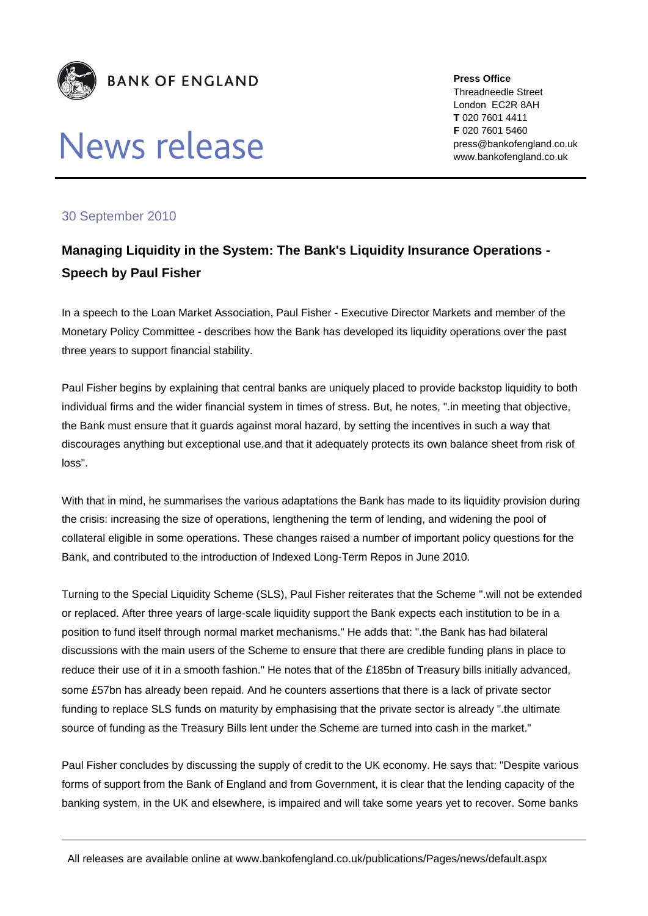

## **News release**

**Press Office** Threadneedle Street London EC2R 8AH **T** 020 7601 4411 **F** 020 7601 5460 press@bankofengland.co.uk www.bankofengland.co.uk

## 30 September 2010

## **Managing Liquidity in the System: The Bank's Liquidity Insurance Operations - Speech by Paul Fisher**

In a speech to the Loan Market Association, Paul Fisher - Executive Director Markets and member of the Monetary Policy Committee - describes how the Bank has developed its liquidity operations over the past three years to support financial stability.

Paul Fisher begins by explaining that central banks are uniquely placed to provide backstop liquidity to both individual firms and the wider financial system in times of stress. But, he notes, ".in meeting that objective, the Bank must ensure that it guards against moral hazard, by setting the incentives in such a way that discourages anything but exceptional use.and that it adequately protects its own balance sheet from risk of loss".

With that in mind, he summarises the various adaptations the Bank has made to its liquidity provision during the crisis: increasing the size of operations, lengthening the term of lending, and widening the pool of collateral eligible in some operations. These changes raised a number of important policy questions for the Bank, and contributed to the introduction of Indexed Long-Term Repos in June 2010.

Turning to the Special Liquidity Scheme (SLS), Paul Fisher reiterates that the Scheme ".will not be extended or replaced. After three years of large-scale liquidity support the Bank expects each institution to be in a position to fund itself through normal market mechanisms." He adds that: ".the Bank has had bilateral discussions with the main users of the Scheme to ensure that there are credible funding plans in place to reduce their use of it in a smooth fashion." He notes that of the £185bn of Treasury bills initially advanced, some £57bn has already been repaid. And he counters assertions that there is a lack of private sector funding to replace SLS funds on maturity by emphasising that the private sector is already ".the ultimate source of funding as the Treasury Bills lent under the Scheme are turned into cash in the market."

Paul Fisher concludes by discussing the supply of credit to the UK economy. He says that: "Despite various forms of support from the Bank of England and from Government, it is clear that the lending capacity of the banking system, in the UK and elsewhere, is impaired and will take some years yet to recover. Some banks